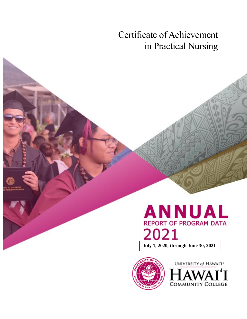Certificate of Achievement in Practical Nursing

# **ANNUAL REPORT OF PROGRAM DATA** 2021

**July 1, 2020, through June 30, 2021**



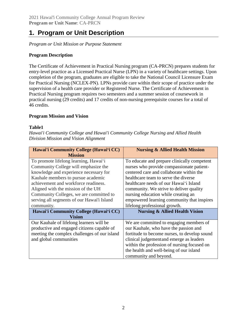# **1. Program or Unit Description**

*Program or Unit Mission or Purpose Statement*

## **Program Description**

The Certificate of Achievement in Practical Nursing program (CA-PRCN) prepares students for entry-level practice as a Licensed Practical Nurse (LPN) in a variety of healthcare settings. Upon completion of the program, graduates are eligible to take the National Council Licensure Exam for Practical Nursing (NCLEX-PN). LPNs provide care within their scope of practice under the supervision of a health care provider or Registered Nurse. The Certificate of Achievement in Practical Nursing program requires two semesters and a summer session of coursework in practical nursing (29 credits) and 17 credits of non-nursing prerequisite courses for a total of 46 credits.

#### **Program Mission and Vision**

#### **Table1**

*Hawai'i Community College and Hawai'i Community College Nursing and Allied Health Division Mission and Vision Alignment*

| Hawai'i Community College (Hawai'i CC)<br><b>Mission</b> | <b>Nursing &amp; Allied Health Mission</b>   |
|----------------------------------------------------------|----------------------------------------------|
| To promote lifelong learning, Hawai'i                    | To educate and prepare clinically competent  |
| Community College will emphasize the                     | nurses who provide compassionate patient-    |
| knowledge and experience necessary for                   | centered care and collaborate within the     |
| Kauhale members to pursue academic                       | healthcare team to serve the diverse         |
| achievement and workforce readiness.                     | healthcare needs of our Hawai'i Island       |
| Aligned with the mission of the UH                       | community. We strive to deliver quality      |
| Community Colleges, we are committed to                  | nursing education while creating an          |
| serving all segments of our Hawai'i Island               | empowered learning community that inspires   |
| community.                                               | lifelong professional growth.                |
| Hawai'i Community College (Hawai'i CC)                   | <b>Nursing &amp; Allied Health Vision</b>    |
| <b>Vision</b>                                            |                                              |
| Our Kauhale of lifelong learners will be                 | We are committed to engaging members of      |
| productive and engaged citizens capable of               | our Kauhale, who have the passion and        |
| meeting the complex challenges of our island             | fortitude to become nurses, to develop sound |
| and global communities                                   | clinical judgement and emerge as leaders     |
|                                                          | within the profession of nursing focused on  |
|                                                          | the health and well-being of our island      |
|                                                          | community and beyond.                        |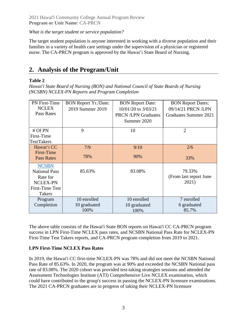## *What is the target student or service population?*

The target student population is anyone interested in working with a diverse population and their families in a variety of health care settings under the supervision of a physician or registered nurse. The CA-PRCN program is approved by the Hawaiʻi State Board of Nursing.

# **2. Analysis of the Program/Unit**

## **Table 2**

*Hawai'i State Board of Nursing (BON) and National Council of State Boards of Nursing (NCSBN) NCLEX-PN Reports and Program Completion*

| <b>PN</b> First-Time   | <b>BON Report Yr./Date:</b> | <b>BON Report Date:</b>   | <b>BON Report Dates:</b> |
|------------------------|-----------------------------|---------------------------|--------------------------|
| <b>NCLEX</b>           | 2019 Summer 2019            | 10/01/20 to 3/03/21       | 09/14/21 PRCN /LPN       |
| Pass Rates             |                             | <b>PRCN/LPN Graduates</b> | Graduates Summer 2021    |
|                        |                             | Summer 2020               |                          |
|                        |                             |                           |                          |
| # Of PN                | 9                           | 10                        | $\overline{2}$           |
| First-Time             |                             |                           |                          |
| <b>TestTakers</b>      |                             |                           |                          |
| Hawai'i CC             | 7/9                         | 9/10                      | 2/6                      |
| First-Time             |                             |                           |                          |
| Pass Rates             | 78%                         | 90%                       | 33%                      |
| <b>NCSBN</b>           |                             |                           |                          |
| <b>National Pass</b>   | 85.63%                      | 83.08%                    | 79.33%                   |
| Rate for               |                             |                           | (From last report June   |
| <b>NCLEX-PN</b>        |                             |                           | 2021)                    |
| <b>First-Time Test</b> |                             |                           |                          |
| <b>Takers</b>          |                             |                           |                          |
| Program                | 10 enrolled                 | 10 enrolled               | 7 enrolled               |
| Completion             | 10 graduated                | 10 graduated              | 6 graduated              |
|                        | 100%                        | 100%                      | 85.7%                    |

The above table consists of the Hawai'i State BON reports on Hawai'i CC CA-PRCN program success in LPN First-Time NCLEX pass rates, and NCSBN National Pass Rate for NCLEX-PN First-Time Test Takers reports, and CA-PRCN program completion from 2019 to 2021.

# **LPN First-Time NCLEX Pass Rates**

In 2019, the Hawai'i CC first-time NCLEX-PN was 78% and did not meet the NCSBN National Pass Rate of 85.63%. In 2020, the program was at 90% and exceeded the NCSBN National pass rate of 83.08%. The 2020 cohort was provided test-taking strategies sessions and attended the Assessment Technologies Institute (ATI) Comprehensive Live NCLEX examination, which could have contributed to the group's success in passing the NCLEX-PN licensure examinations. The 2021 CA-PRCN graduates are in progress of taking their NCLEX-PN licensure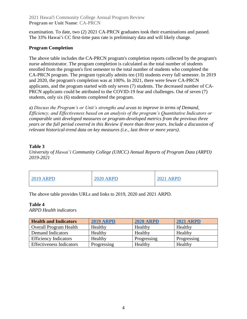examination. To date, two (2) 2021 CA-PRCN graduates took their examinations and passed. The 33% Hawaiʻi CC first-time pass rate is preliminary data and will likely change.

## **Program Completion**

The above table includes the CA-PRCN program's completion reports collected by the program's nurse administrator. The program completion is calculated as the total number of students enrolled from the program's first semester to the total number of students who completed the CA-PRCN program. The program typically admits ten (10) students every fall semester. In 2019 and 2020, the program's completion was at 100%. In 2021, there were fewer CA-PRCN applicants, and the program started with only seven (7) students. The decreased number of CA-PRCN applicants could be attributed to the COVID-19 fear and challenges. Out of seven (7) students, only six (6) students completed the program.

a) *Discuss the Program's or Unit's strengths and areas to improve in terms of Demand, Efficiency, and Effectiveness based on an analysis of the program's Quantitative Indicators or comparable unit developed measures or program-developed metrics from the previous three years or the full period covered in this Review if more than three years. Include a discussion of relevant historical-trend data on key measures (i.e., last three or more years).*

## **Table 3**

*University of Hawaiʻi Community College (UHCC) Annual Reports of Program Data (ARPD) 2019-2021*

| <b>2019 ARPD</b> | <b>2020 ARPD</b> | 2021<br><b>ARPD</b> |
|------------------|------------------|---------------------|
|------------------|------------------|---------------------|

The above table provides URLs and links to 2019, 2020 and 2021 ARPD.

#### **Table 4**

*ARPD Health indicators*

| <b>Health and Indicators</b>    | <b>2019 ARPD</b> | <b>2020 ARPD</b> | <b>2021 ARPD</b> |
|---------------------------------|------------------|------------------|------------------|
| <b>Overall Program Health</b>   | Healthy          | Healthy          | Healthy          |
| Demand Indicators               | Healthy          | Healthy          | Healthy          |
| <b>Efficiency Indicators</b>    | Healthy          | Progressing      | Progressing      |
| <b>Effectiveness Indicators</b> | Progressing      | Healthy          | Healthy          |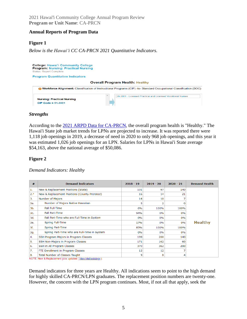#### **Annual Reports of Program Data**

### **Figure 1**

*Below is the Hawaiʻi CC CA-PRCN 2021 Quantitative Indicators.*



#### *Strengths*

According to the [2021 ARPD Data for CA-PRCN,](https://uhcc.hawaii.edu/varpd/index.php?y=2021&c=HAW&t=CTE&p=2329) the overall program health is "Healthy." The Hawai'i State job market trends for LPNs are projected to increase. It was reported there were 1,118 job openings in 2019, a decrease of need in 2020 to only 968 job openings, and this year it was estimated 1,026 job openings for an LPN. Salaries for LPNs in Hawai'i State average \$54,163, above the national average of \$50,086.

#### **Figure 2**

|  | Demand Indicators: Healthy |  |
|--|----------------------------|--|
|--|----------------------------|--|

| #     | <b>Demand Indicators</b>                                                                                  | $2018 - 19$ | $2019 - 20$ | $2020 - 21$ | <b>Demand Health</b> |
|-------|-----------------------------------------------------------------------------------------------------------|-------------|-------------|-------------|----------------------|
| 1.    | New & Replacement Positions (State)                                                                       | 101         | 97          | 140         |                      |
| $2.*$ | New & Replacement Positions (County Prorated)                                                             | 16          | 14          | 21          |                      |
| 3.    | Number of Majors                                                                                          | 14          | 10          |             |                      |
| 3a.   | Number of Majors Native Hawaiian                                                                          | 5           | 2           |             |                      |
| 3b.   | Fall Full-Time                                                                                            | 6%          | 100%        | 100%        |                      |
| 3с.   | Fall Part-Time                                                                                            | 94%         | 0%          | 0%          |                      |
| 3d.   | Fall Part-Time who are Full-Time in System                                                                | 0%          | 0%          | 0%          |                      |
| 3e.   | Spring Full-Time                                                                                          | 17%         | 0%          | 0%          | <b>Healthy</b>       |
| 3f.   | Spring Part-Time                                                                                          | 83%         | 100%        | 100%        |                      |
| 3g.   | Spring Part-Time who are Full-Time in System                                                              | 0%          | 0%          | 0%          |                      |
| 4.    | SSH Program Majors in Program Classes                                                                     | 199         | 200         | 140         |                      |
| 5.    | SSH Non-Majors in Program Classes                                                                         | 171         | 162         | 60          |                      |
| 6.    | SSH in All Program Classes                                                                                | 370         | 362         | 200         |                      |
| 7.    | FTE Enrollment in Program Classes                                                                         | 12          | 12          |             |                      |
| 8.    | Total Number of Classes Taught<br>MOTE: Mail 0. Deviation of John Countries (Albert Moter Mother delight) | 9           | 8           | 4           |                      |

NOTE: New & Replacement jobs updated (View Methodology).

Demand indicators for three years are Healthy. All indications seem to point to the high demand for highly skilled CA-PRCN/LPN graduates. The replacement position numbers are twenty-one. However, the concern with the LPN program continues. Most, if not all that apply, seek the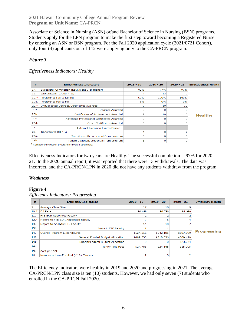Associate of Science in Nursing (ASN) or/and Bachelor of Science in Nursing (BSN) programs. Students apply for the LPN program to make the first step toward becoming a Registered Nurse by entering an ASN or BSN program. For the Fall 2020 application cycle (2021/0721 Cohort), only four (4) applicants out of 112 were applying only to the CA-PRCN program.

# *Figure 3*

### *Effectiveness Indicators: Healthy*

| #                 | <b>Effectiveness Indicators</b>                | $2018 - 19$ | $2019 - 20$ | $2020 - 21$ | <b>Effectiveness Health</b> |
|-------------------|------------------------------------------------|-------------|-------------|-------------|-----------------------------|
| 17.               | Successful Completion (Equivalent C or Higher) | 82%         | 77%         | 97%         |                             |
| 18.               | Withdrawals (Grade = $W$ )                     | 7           | 13          |             |                             |
| $19.*$            | Persistence Fall to Spring                     | 69%         | 100%        | 100%        |                             |
| 19a.              | Persistence Fall to Fall                       | 6%          | 0%          | 0%          |                             |
| $20.*$            | Unduplicated Degrees/Certificates Awarded      | 9           | 10          | 10          |                             |
| 20a.              | Degrees Awarded                                | $\mathbf 0$ | o           |             |                             |
| 20 <sub>b</sub> . | Certificates of Achievement Awarded            | 9           | 10          | 10          | <b>Healthy</b>              |
| 20c.              | Advanced Professional Certificates Awarded     | $\circ$     | o           |             |                             |
| 20d.              | Other Certificates Awarded                     | $\Omega$    | o           | n           |                             |
| 21.               | External Licensing Exams Passed 1              |             |             |             |                             |
| 22.               | Transfers to UH 4-yr                           | 4           | o           |             |                             |
| 22a.              | Transfers with credential from program         | 3           | 0           |             |                             |
| $22b$ .           | Transfers without credential from program      | 1           | o           | 2           |                             |
| $\sim$            |                                                |             |             |             |                             |

<sup>1</sup> Campus to include in program analysis if applicable.

Effectiveness Indicators for two years are Healthy. The successful completion is 97% for 2020- 21. In the 2020 annual report, it was reported that there were 13 withdrawals. The data was incorrect, and the CA-PRCN/LPN in 2020 did not have any students withdraw from the program.

#### *Weakness*

#### **Figure 4**

| Efficiency Indicators: Progressing |  |
|------------------------------------|--|
|                                    |  |

| #      | <b>Efficiency Indicators</b>         | $2018 - 19$ | $2019 - 20$ | $2020 - 21$ | <b>Efficiency Health</b> |
|--------|--------------------------------------|-------------|-------------|-------------|--------------------------|
| 9.     | Average Class Size                   | 17          | 18          | ۹           |                          |
| $10.*$ | <b>Fill Rate</b>                     | 90.6%       | 94.7%       | 91.9%       |                          |
| 11.    | FTE BOR Appointed Faculty            |             |             |             |                          |
| $12.*$ | Majors to FTE BOR Appointed Faculty  |             |             |             |                          |
| 13.    | Majors to Analytic FTE Faculty       | 14          | 10          |             |                          |
| 13a.   | <b>Analytic FTE Faculty</b>          |             |             |             |                          |
| 14.    | Overall Program Expenditures         | \$524,316   | \$542,181   | \$607,899   | <b>Progressing</b>       |
| 14a.   | General Funded Budget Allocation     | \$499,533   | \$518,036   | \$569,420   |                          |
| 14b.   | Special/Federal Budget Allocation    | $\circ$     | $\Omega$    | \$23,274    |                          |
| 14c.   | <b>Tuition and Fees</b>              | \$24,783    | \$24,145    | \$15,205    |                          |
| 15.    | Cost per SSH                         |             |             |             |                          |
| 16.    | Number of Low-Enrolled (<10) Classes | 2           | $\Omega$    |             |                          |

The Efficiency Indicators were healthy in 2019 and 2020 and progressing in 2021. The average CA-PRCN/LPN class size is ten (10) students. However, we had only seven (7) students who enrolled in the CA-PRCN Fall 2020.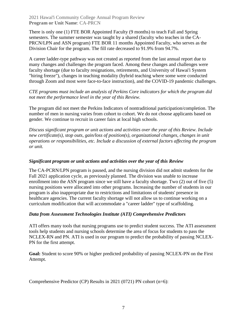There is only one (1) FTE BOR Appointed Faculty (9 months) to teach Fall and Spring semesters. The summer semester was taught by a shared (faculty who teaches in the CA-PRCN/LPN and ASN program) FTE BOR 11 months Appointed Faculty, who serves as the Division Chair for the program. The fill rate decreased to 91.9% from 94.7%.

A career ladder-type pathway was not created as reported from the last annual report due to many changes and challenges the program faced. Among these changes and challenges were faculty shortage (due to faculty resignations, retirements, and University of Hawai'i System "hiring freeze"), changes in teaching modality (hybrid teaching where some were conducted through Zoom and most were face-to-face instruction), and the COVID-19 pandemic challenges.

### *CTE programs must include an analysis of Perkins Core indicators for which the program did not meet the performance level in the year of this Review.*

The program did not meet the Perkins Indicators of nontraditional participation/completion. The number of men in nursing varies from cohort to cohort. We do not choose applicants based on gender. We continue to recruit in career fairs at local high schools.

*Discuss significant program or unit actions and activities over the year of this Review. Include new certificate(s), stop outs, gain/loss of position(s), organizational changes, changes in unit operations or responsibilities, etc. Include a discussion of external factors affecting the program or unit.*

#### *Significant program or unit actions and activities over the year of this Review*

The CA-PCRN/LPN program is paused, and the nursing division did not admit students for the Fall 2021 application cycle, as previously planned. The division was unable to increase enrollment into the ASN program since we still have a faculty shortage. Two (2) out of five (5) nursing positions were allocated into other programs. Increasing the number of students in our program is also inappropriate due to restrictions and limitations of students' presence in healthcare agencies. The current faculty shortage will not allow us to continue working on a curriculum modification that will accommodate a "career ladder" type of scaffolding.

#### *Data from Assessment Technologies Institute (ATI) Comprehensive Predictors*

ATI offers many tools that nursing programs use to predict student success. The ATI assessment tools help students and nursing schools determine the area of focus for students to pass the NCLEX-RN and PN. ATI is used in our program to predict the probability of passing NCLEX-PN for the first attempt.

**Goal:** Student to score 90% or higher predicted probability of passing NCLEX-PN on the First Attempt.

Comprehensive Predictor (CP) Results in 2021 (0721) PN cohort (n=6):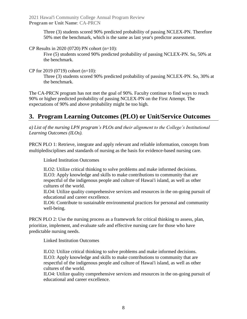> Three (3) students scored 90% predicted probability of passing NCLEX-PN. Therefore 50% met the benchmark, which is the same as last year's predictor assessment.

CP Results in 2020 (0720) PN cohort (n=10):

Five (5) students scored 90% predicted probability of passing NCLEX-PN. So, 50% at the benchmark.

CP for 2019 (0719) cohort (n=10):

Three (3) students scored 90% predicted probability of passing NCLEX-PN. So, 30% at the benchmark.

The CA-PRCN program has not met the goal of 90%. Faculty continue to find ways to reach 90% or higher predicted probability of passing NCLEX-PN on the First Attempt. The expectations of 90% and above probability might be too high.

# **3. Program Learning Outcomes (PLO) or Unit/Service Outcomes**

*a) List of the nursing LPN program's PLOs and their alignment to the College's Institutional Learning Outcomes (ILOs).*

PRCN PLO 1: Retrieve, integrate and apply relevant and reliable information, concepts from multipledisciplines and standards of nursing as the basis for evidence-based nursing care.

Linked Institution Outcomes

ILO2: Utilize critical thinking to solve problems and make informed decisions. ILO3: Apply knowledge and skills to make contributions to community that are respectful of the indigenous people and culture of Hawai'i island, as well as other cultures of the world.

ILO4: Utilize quality comprehensive services and resources in the on-going pursuit of educational and career excellence.

ILO6: Contribute to sustainable environmental practices for personal and community well-being.

PRCN PLO 2: Use the nursing process as a framework for critical thinking to assess, plan, prioritize, implement, and evaluate safe and effective nursing care for those who have predictable nursing needs.

Linked Institution Outcomes

ILO2: Utilize critical thinking to solve problems and make informed decisions. ILO3: Apply knowledge and skills to make contributions to community that are respectful of the indigenous people and culture of Hawai'i island, as well as other cultures of the world.

ILO4: Utilize quality comprehensive services and resources in the on-going pursuit of educational and career excellence.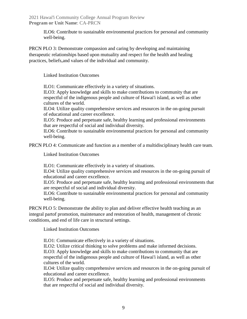> ILO6: Contribute to sustainable environmental practices for personal and community well-being.

PRCN PLO 3: Demonstrate compassion and caring by developing and maintaining therapeutic relationships based upon mutuality and respect for the health and healing practices, beliefs,and values of the individual and community.

Linked Institution Outcomes

ILO1: Communicate effectively in a variety of situations.

ILO3: Apply knowledge and skills to make contributions to community that are respectful of the indigenous people and culture of Hawai'i island, as well as other cultures of the world.

ILO4: Utilize quality comprehensive services and resources in the on-going pursuit of educational and career excellence.

ILO5: Produce and perpetuate safe, healthy learning and professional environments that are respectful of social and individual diversity.

ILO6: Contribute to sustainable environmental practices for personal and community well-being.

PRCN PLO 4: Communicate and function as a member of a multidisciplinary health care team.

Linked Institution Outcomes

ILO1: Communicate effectively in a variety of situations.

ILO4: Utilize quality comprehensive services and resources in the on-going pursuit of educational and career excellence.

ILO5: Produce and perpetuate safe, healthy learning and professional environments that are respectful of social and individual diversity.

ILO6: Contribute to sustainable environmental practices for personal and community well-being.

PRCN PLO 5: Demonstrate the ability to plan and deliver effective health teaching as an integral partof promotion, maintenance and restoration of health, management of chronic conditions, and end of life care in structural settings.

Linked Institution Outcomes

ILO1: Communicate effectively in a variety of situations.

ILO2: Utilize critical thinking to solve problems and make informed decisions. ILO3: Apply knowledge and skills to make contributions to community that are respectful of the indigenous people and culture of Hawai'i island, as well as other cultures of the world.

ILO4: Utilize quality comprehensive services and resources in the on-going pursuit of educational and career excellence.

ILO5: Produce and perpetuate safe, healthy learning and professional environments that are respectful of social and individual diversity.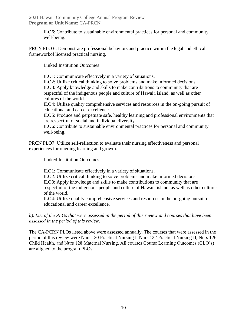> ILO6: Contribute to sustainable environmental practices for personal and community well-being.

PRCN PLO 6: Demonstrate professional behaviors and practice within the legal and ethical frameworkof licensed practical nursing.

Linked Institution Outcomes

ILO1: Communicate effectively in a variety of situations.

ILO2: Utilize critical thinking to solve problems and make informed decisions. ILO3: Apply knowledge and skills to make contributions to community that are respectful of the indigenous people and culture of Hawai'i island, as well as other cultures of the world.

ILO4: Utilize quality comprehensive services and resources in the on-going pursuit of educational and career excellence.

ILO5: Produce and perpetuate safe, healthy learning and professional environments that are respectful of social and individual diversity.

ILO6: Contribute to sustainable environmental practices for personal and community well-being.

PRCN PLO7: Utilize self-reflection to evaluate their nursing effectiveness and personal experiences for ongoing learning and growth.

Linked Institution Outcomes

ILO1: Communicate effectively in a variety of situations.

ILO2: Utilize critical thinking to solve problems and make informed decisions.

ILO3: Apply knowledge and skills to make contributions to community that are respectful of the indigenous people and culture of Hawai'i island, as well as other cultures of the world.

ILO4: Utilize quality comprehensive services and resources in the on-going pursuit of educational and career excellence.

*b). List of the PLOs that were assessed in the period of this review and courses that have been assessed in the period of this review.*

The CA-PCRN PLOs listed above were assessed annually. The courses that were assessed in the period of this review were Nurs 120 Practical Nursing I, Nurs 122 Practical Nursing II, Nurs 126 Child Health, and Nurs 128 Maternal Nursing. All courses Course Learning Outcomes (CLO's) are aligned to the program PLOs.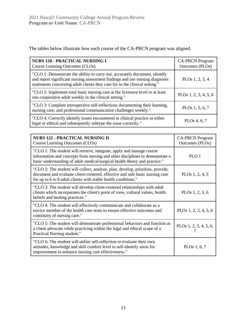The tables below illustrate how each course of the CA-PRCN program was aligned.

| <b>NURS 120 - PRACTICAL NURSING I</b><br>Course Learning Outcomes (CLOs)                                                                                                                                                                   | <b>CA-PRCN</b> Program<br>Outcomes (PLOs) |
|--------------------------------------------------------------------------------------------------------------------------------------------------------------------------------------------------------------------------------------------|-------------------------------------------|
| "CLO 1: Demonstrate the ability to carry out, accurately document, identify<br>and report significant nursing assessment findings and use nursing diagnoses<br>statements concerning adult clients they care for in the clinical setting." | PLOs $1, 2, 3, 4$                         |
| "CLO 2: Implement total basic nursing care at the licensure level to at least<br>one cooperative adult weekly in the clinical setting."                                                                                                    | PLOs $1, 2, 3, 4, 5, 6$                   |
| "CLO 3: Complete introspective self-reflections documenting their learning,<br>nursing care, and professional communication challenges weekly."                                                                                            | PLOs 1, 5, 6, 7                           |
| "CLO 4: Correctly identify issues encountered in clinical practice as either<br>legal or ethical and subsequently subtype the issue correctly."                                                                                            | PLO <sub>s</sub> 4, 6, 7                  |

| <b>NURS 122 - PRACTICAL NURSING II</b><br>Course Learning Outcomes (CLOs)                                                                                                                                                           | <b>CA-PRCN Program</b><br>Outcomes (PLOs) |
|-------------------------------------------------------------------------------------------------------------------------------------------------------------------------------------------------------------------------------------|-------------------------------------------|
| "CLO 1: The student will retrieve, integrate, apply and manage course<br>information and concepts from nursing and other disciplines to demonstrate a<br>basic understanding of adult medical/surgical health theory and practice." | PLO 1                                     |
| "CLO 2: The student will collect, analyze, plan, develop, prioritize, provide,<br>document and evaluate client-centered, effective and safe basic nursing care<br>for up to 6 to 8 adult clients with stable health conditions."    | PLO <sub>s</sub> 1, 2, 4, 5               |
| "CLO 3: The student will develop client-centered relationships with adult<br>clients which incorporates the client's point of view, cultural values, health<br>beliefs and healing practices."                                      | PLOs 1, 2, 3, 6                           |
| "CLO 4: The student will effectively communicate and collaborate as a<br>novice member of the health care team to ensure effective outcomes and<br>continuity of nursing care."                                                     | PLOs 1, 2, 3, 4, 5, 6                     |
| "CLO 5: The student will demonstrate professional behaviors and function as<br>a client advocate while practicing within the legal and ethical scope of a<br>Practical Nursing student."                                            | PLOs 1, 2, 3, 4, 5, 6,                    |
| "CLO 6: The student will utilize self-reflection to evaluate their own<br>attitudes, knowledge and skill comfort level to self-identify areas for<br>improvement to enhance nursing care effectiveness."                            | PLOs 1, 6, 7                              |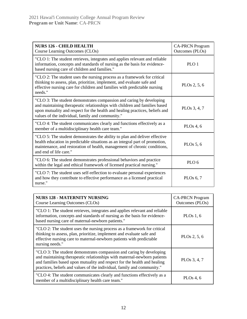| <b>NURS 126 - CHILD HEALTH</b><br>Course Learning Outcomes (CLOs)                                                                                                                                                                                                                      | <b>CA-PRCN</b> Program<br>Outcomes (PLOs) |
|----------------------------------------------------------------------------------------------------------------------------------------------------------------------------------------------------------------------------------------------------------------------------------------|-------------------------------------------|
| "CLO 1: The student retrieves, integrates and applies relevant and reliable<br>information, concepts and standards of nursing as the basis for evidence-<br>based nursing care of children and families."                                                                              | PLO <sub>1</sub>                          |
| "CLO 2: The student uses the nursing process as a framework for critical<br>thinking to assess, plan, prioritize, implement, and evaluate safe and<br>effective nursing care for children and families with predictable nursing<br>needs."                                             | PLOs 2, 5, 6                              |
| "CLO 3: The student demonstrates compassion and caring by developing<br>and maintaining therapeutic relationships with children and families based<br>upon mutuality and respect for the health and healing practices, beliefs and<br>values of the individual, family and community." | PLO <sub>s</sub> 3, 4, 7                  |
| "CLO 4: The student communicates clearly and functions effectively as a<br>member of a multidisciplinary health care team."                                                                                                                                                            | PLOs $4, 6$                               |
| "CLO 5: The student demonstrates the ability to plan and deliver effective<br>health education in predictable situations as an integral part of promotion,<br>maintenance, and restoration of health, management of chronic conditions,<br>and end of life care."                      | PLOs $5, 6$                               |
| "CLO 6: The student demonstrates professional behaviors and practice<br>within the legal and ethical framework of licensed practical nursing."                                                                                                                                         | PLO <sub>6</sub>                          |
| "CLO 7: The student uses self-reflection to evaluate personal experiences<br>and how they contribute to effective performance as a licensed practical<br>nurse."                                                                                                                       | PLOs $6, 7$                               |

| <b>NURS 128 - MATERNITY NURSING</b><br>Course Learning Outcomes (CLOs)                                                                                                                                                                                                                                  | <b>CA-PRCN</b> Program<br>Outcomes (PLOs) |
|---------------------------------------------------------------------------------------------------------------------------------------------------------------------------------------------------------------------------------------------------------------------------------------------------------|-------------------------------------------|
| "CLO 1: The student retrieves, integrates and applies relevant and reliable<br>information, concepts and standards of nursing as the basis for evidence-<br>based nursing care of maternal-newborn patients."                                                                                           | PLOs $1, 6$                               |
| "CLO 2: The student uses the nursing process as a framework for critical<br>thinking to assess, plan, prioritize, implement and evaluate safe and<br>effective nursing care to maternal-newborn patients with predictable<br>nursing needs."                                                            | PLO <sub>s</sub> 2, 5, 6                  |
| "CLO 3: The student demonstrates compassion and caring by developing<br>and maintaining therapeutic relationships with maternal-newborn patients<br>and families based upon mutuality and respect for the health and healing<br>practices, beliefs and values of the individual, family and community." | PLO <sub>s</sub> 3, 4, 7                  |
| "CLO 4: The student communicates clearly and functions effectively as a<br>member of a multidisciplinary health care team."                                                                                                                                                                             | PLOs 4, $6$                               |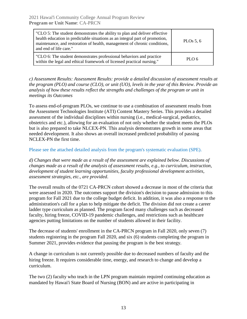| "CLO 5: The student demonstrates the ability to plan and deliver effective<br>health education in predictable situations as an integral part of promotion,<br>maintenance, and restoration of health, management of chronic conditions,<br>and end of life care." | PLOs $5, 6$ |
|-------------------------------------------------------------------------------------------------------------------------------------------------------------------------------------------------------------------------------------------------------------------|-------------|
| "CLO 6: The student demonstrates professional behaviors and practice<br>within the legal and ethical framework of licensed practical nursing."                                                                                                                    | PLO 6       |

*c) Assessment Results: Assessment Results: provide a detailed discussion of assessment results at the program (PLO) and course (CLO), or unit (UO), levels in the year of this Review. Provide an analysis of how these results reflect the strengths and challenges of the program or unit in meetings its Outcomes*

To assess end-of-program PLOs, we continue to use a combination of assessment results from the Assessment Technologies Institute (ATI) Content Mastery Series. This provides a detailed assessment of the individual disciplines within nursing (i.e., medical-surgical, pediatrics, obstetrics and etc.), allowing for an evaluation of not only whether the student meets the PLOs but is also prepared to take NLCEX-PN. This analysis demonstrates growth in some areas that needed development. It also shows an overall increased predicted probability of passing NCLEX-PN the first time.

Please see the attached detailed analysis from the program's systematic evaluation (SPE).

*d) Changes that were made as a result of the assessment are explained below. Discussions of changes made as a result of the analysis of assessment results, e.g., to curriculum, instruction, development of student learning opportunities, faculty professional development activities, assessment strategies, etc., are provided*.

The overall results of the 0721 CA-PRCN cohort showed a decrease in most of the criteria that were assessed in 2020. The outcomes support the division's decision to pause admission to this program for Fall 2021 due to the college budget deficit. In addition, it was also a response to the administration's call for a plan to help mitigate the deficit. The division did not create a career ladder type curriculum as planned. The program faced many challenges such as decreased faculty, hiring freeze, COVID-19 pandemic challenges, and restrictions such as healthcare agencies putting limitations on the number of students allowed in their facility.

The decrease of students' enrollment in the CA-PRCN program in Fall 2020, only seven (7) students registering in the program Fall 2020, and six (6) students completing the program in Summer 2021, provides evidence that pausing the program is the best strategy.

A change in curriculum is not currently possible due to decreased numbers of faculty and the hiring freeze. It requires considerable time, energy, and research to change and develop a curriculum.

The two (2) faculty who teach in the LPN program maintain required continuing education as mandated by Hawai'i State Board of Nursing (BON) and are active in participating in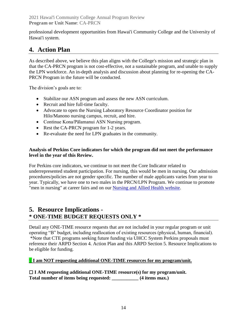professional development opportunities from Hawai'i Community College and the University of Hawai'i system.

# **4. Action Plan**

As described above, we believe this plan aligns with the College's mission and strategic plan in that the CA-PRCN program is not cost-effective, not a sustainable program, and unable to supply the LPN workforce. An in-depth analysis and discussion about planning for re-opening the CA-PRCN Program in the future will be conducted.

The division's goals are to:

- Stabilize our ASN program and assess the new ASN curriculum.
- Recruit and hire full-time faculty.
- Advocate to open the Nursing Laboratory Resource Coordinator position for Hilo/Manono nursing campus, recruit, and hire.
- Continue Kona/Pālamanui ASN Nursing program.
- Rest the CA-PRCN program for 1-2 years.
- Re-evaluate the need for LPN graduates in the community.

### **Analysis of Perkins Core indicators for which the program did not meet the performance level in the year of this Review.**

For Perkins core indicators, we continue to not meet the Core Indicator related to underrepresented student participation. For nursing, this would be men in nursing. Our admission procedures/policies are not gender specific. The number of male applicants varies from year to year. Typically, we have one to two males in the PRCN/LPN Program. We continue to promote "men in nursing" at career fairs and on our [Nursing and Allied Health website.](https://hawaii.hawaii.edu/nursing)

# **5. Resource Implications - \* ONE-TIME BUDGET REQUESTS ONLY \***

Detail any ONE-TIME resource requests that are not included in your regular program or unit operating "B" budget, including reallocation of existing resources (physical, human, financial). \*Note that CTE programs seeking future funding via UHCC System Perkins proposals must reference their ARPD Section 4. Action Plan and this ARPD Section 5. Resource Implications to be eligible for funding.

# **√ I am NOT requesting additional ONE-TIME resources for my program/unit.**

☐ **I AM requesting additional ONE-TIME resource(s) for my program/unit. Total number of items being requested: \_\_\_\_\_\_\_\_\_\_\_ (4 items max.)**